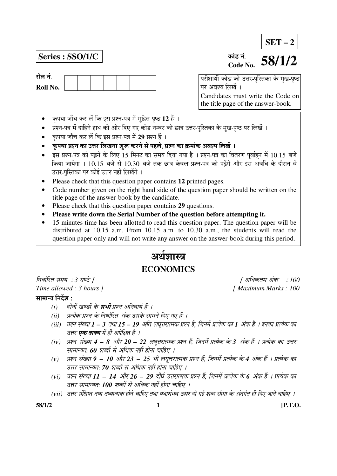# **SET – 2**

## **Series : SSO/1/C**



#### कोड नं **Code No. 58/1/2**

 $\overline{a}$ परीक्षार्थी कोड को उत्तर-पुस्तिका के मुख-पृष्ठ पर अवश्य लिखें । Candidates must write the Code on the title page of the answer-book.

- कृपया जाँच कर लें कि इस प्रश्न-पत्र में मुद्रित पृष्ठ 12 हैं ।
- प्रश्न-पत्र में दाहिने हाथ की ओर दिए गए कोड नम्बर को छात्र उत्तर-पुस्तिका के मुख-पृष्ठ पर लिखें ।
- कृपया जाँच कर लें कि इस प्रश्न-पत्र में 29 प्रश्न हैं ।
- ँ कृपया प्रश्न का उत्तर लिखना शुरू करने से पहले. प्रश्न का क्रमांक अवश्य लिखें ।
- इस प्रश्न-पत्र को पढ़ने के लिए 15 मिनट का समय दिया गया है । प्रश्न-पत्र का वितरण पूर्वाहन में 10.15 बजे किया जायेगा । 10.15 बजे से 10.30 बजे तक छात्र केवल प्रश्न-पत्र को पढेंगे और इस अवधि के दौरान वे उत्तर-पस्तिका पर कोई उत्तर नहीं लिखेंगे ।
- Please check that this question paper contains **12** printed pages.
- Code number given on the right hand side of the question paper should be written on the title page of the answer-book by the candidate.
- Please check that this question paper contains **29** questions.
- **Please write down the Serial Number of the question before attempting it.**
- 15 minutes time has been allotted to read this question paper. The question paper will be distributed at 10.15 a.m. From 10.15 a.m. to 10.30 a.m., the students will read the question paper only and will not write any answer on the answer-book during this period.

# अर्थशास्त्र **ECONOMICS**

×®Ö¬ÖÖÔ׸üŸÖ ÃÖ´ÖµÖ : *3* 'ÖÞ™êü ] [ †×¬ÖÛúŸÖ´Ö †ÓÛú : *100* 

#### सामान्य निर्देश $\,$ :

- *(i) दोनों खण्डों के सभी प्रश्न अनिवार्य हैं ।*
- *(ii) प्रत्येक प्रश्न के निर्धारित अंक उसके सामने दिए गए हैं ।*
- *(iii) प्रश्न संख्या 1 3 तथा 15 19 अति लघुत्तरात्मक प्रश्न हैं, जिनमें प्रत्येक का 1 अंक है । इनका प्रत्येक का* उत्तर **एक वाक्य** में ही अपेक्षित है ।
- *(iv) प्रश्न संख्या 4 8 और 20 22 लघुत्तरात्मक प्रश्न हैं, जिनमें प्रत्येक के 3 अंक हैं । प्रत्येक का उत्तर* <u>सामान्यतः 60 शब्दों से अधिक नहीं होना चाहिए ।</u>
- (v) प्रश्न संख्या **9 10** और 23 25 भी लघूत्तरात्मक प्रश्न हैं, जिनमें प्रत्येक के 4 अंक हैं । प्रत्येक का उत्तर सामान्यत: 70 शब्दों से अधिक नहीं होना चाहिए ।
- (vi) प्रश्न संख्या 11 14 और 26 29 दीर्घ उत्तरात्मक प्रश्न हैं, जिनमें प्रत्येक के 6 अंक हैं । प्रत्येक का उत्तर सामान्यत: **100** शब्दों से अधिक नहीं होना चाहिए ।
- (vii) उत्तर संक्षिप्त तथा तथ्यात्मक होने चाहिए तथा यथासंभव ऊपर दी गई शब्द सीमा के अंतर्गत ही दिए जाने चाहिए ।

*Time allowed : 3 hours ]* [ *Maximum Marks : 100* 

**58/1/2 1 [P.T.O.**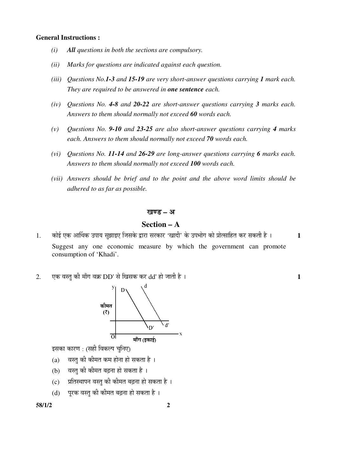#### **General Instructions :**

- *(i) All questions in both the sections are compulsory.*
- *(ii) Marks for questions are indicated against each question.*
- *(iii) Questions No.1-3 and 15-19 are very short-answer questions carrying 1 mark each. They are required to be answered in one sentence each.*
- *(iv) Questions No. 4-8 and 20-22 are short-answer questions carrying 3 marks each. Answers to them should normally not exceed 60 words each.*
- *(v) Questions No. 9-10 and 23-25 are also short-answer questions carrying 4 marks each. Answers to them should normally not exceed 70 words each.*
- *(vi) Questions No. 11-14 and 26-29 are long-answer questions carrying 6 marks each. Answers to them should normally not exceed 100 words each.*
- *(vii) Answers should be brief and to the point and the above word limits should be adhered to as far as possible.*

#### खण्ड – अ

#### **Section – A**

- 1. कोई एक आर्थिक उपाय सुझाइए जिसके द्वारा सरकार 'खादी' के उपभोग को प्रोत्साहित कर सकती है । 1 Suggest any one economic measure by which the government can promote consumption of 'Khadi'.
- $2.$   $\overline{v}$ क वस्त की माँग वक्र  $DD'$  से खिसक कर  $dd'$  हो जाती है ।  $\overline{v}$



इसका कारण : (सही विकल्प चुनिए)

- (a) वस्तु की कीमत कम होना हो सकता है)।
- (b) वस्त की कीमत बढना हो सकता है)।
- (c) जिंगिस्थापन वस्तु की कीमत बढ़ना हो सकता है)।
- $(d)$  पुरक वस्तु की कीमत बढ़ना हो सकता है।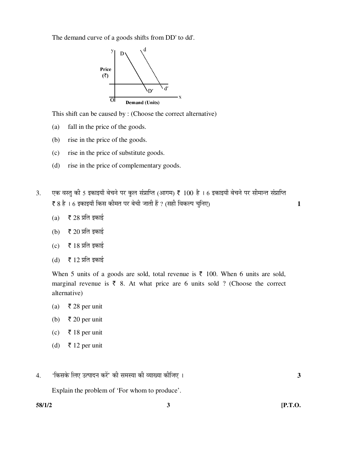The demand curve of a goods shifts from DD' to dd'.



This shift can be caused by : (Choose the correct alternative)

- (a) fall in the price of the goods.
- (b) rise in the price of the goods.
- (c) rise in the price of substitute goods.
- (d) rise in the price of complementary goods.
- 3. एक वस्तु की 5 इकाइयाँ बेचने पर कुल संप्राप्ति (आगम) ₹ 100 है । 6 इकाइयाँ बेचने पर सीमान्त संप्राप्ति ` 8 Æîü … 6 ‡ÛúÖ‡µÖÖÑ ×ÛúÃÖ Ûúß´ÖŸÖ ¯Ö¸ü ²Öê"Öß •ÖÖŸÖß Æïü ? (ÃÖÆüß ×¾ÖÛú»¯Ö "Öã×®Ö‹) **1** 
	- (a)  $\bar{\bar{\xi}}$  28 प्रति इकाई
	- (b)  $\bar{\tau}$  20 प्रति इकाई
	- $(c)$   $\bar{\bar{\epsilon}}$  18 प्रति इकाई
	- (d)  $\bar{\bar{\xi}}$  12 प्रति इकाई

When 5 units of a goods are sold, total revenue is  $\bar{\tau}$  100. When 6 units are sold, marginal revenue is  $\bar{\tau}$  8. At what price are 6 units sold ? (Choose the correct alternative)

- (a) ₹ 28 per unit
- (b)  $\bar{\tau}$  20 per unit
- (c) ₹ 18 per unit
- (d)  $\bar{\tau}$  12 per unit
- 4. '×ÛúÃÖÛêú ×»Ö‹ ˆŸ¯ÖÖ¤ü®Ö Ûú¸ëü' Ûúß ÃÖ´ÖõÖÖ Ûúß ¾µÖÖܵÖÖ Ûúßו֋ … **3**

Explain the problem of 'For whom to produce'.

**58/1/2 3 [P.T.O.**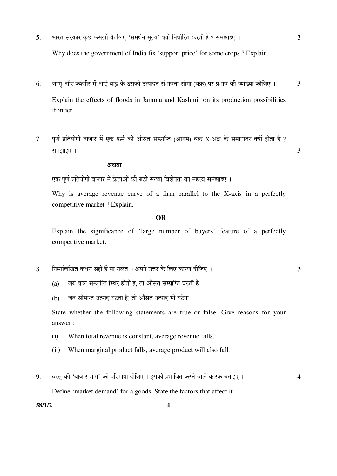5. भारत सरकार कछ फसलों के लिए 'समर्थन मुल्य' क्यों निर्धारित करती है ? समझाइए । 3

Why does the government of India fix 'support price' for some crops ? Explain.

- 6. जम्म और कश्मीर में आई बाढ़ के उसकी उत्पादन संभावना सीमा (वक्र) पर प्रभाव की व्याख्या कीजिए । 3 Explain the effects of floods in Jammu and Kashmir on its production possibilities frontier.
- $7.$  पूर्ण प्रतियोगी बाजार में एक फर्म की औसत सम्प्राप्ति (आगम) वक्र X-अक्ष के समानांतर क्यों होता है ?  $\overline{3}$

#### अथवा

एक पूर्ण प्रतियोगी बाजार में क्रेताओं की बड़ी संख्या विशेषता का महत्त्व समझाइए ।

 Why is average revenue curve of a firm parallel to the X-axis in a perfectly competitive market ? Explain.

#### **OR**

 Explain the significance of 'large number of buyers' feature of a perfectly competitive market.

- 8. ×®Ö´®Ö×»Ö×ÜÖŸÖ Ûú£Ö®Ö ÃÖÆüß Æïü µÖÖ ÝÖ»ÖŸÖ … †¯Ö®Öê ˆ¢Ö¸ü Ûêú ×»Ö‹ ÛúÖ¸üÞÖ ¤üßו֋ … **3** 
	- (a) जब कुल सम्प्राप्ति स्थिर होती है, तो ओसत सम्प्राप्ति घटती है)।
	- (b) जब सीमान्त उत्पाद घटता है, तो औसत उत्पाद भी घटेगा ।

 State whether the following statements are true or false. Give reasons for your answer :

- (i) When total revenue is constant, average revenue falls.
- (ii) When marginal product falls, average product will also fall.
- 9. वस्तु की 'बाजार माँग' की परिभाषा दीजिए । इसको प्रभावित करने वाले कारक बताइए । 4

Define 'market demand' for a goods. State the factors that affect it.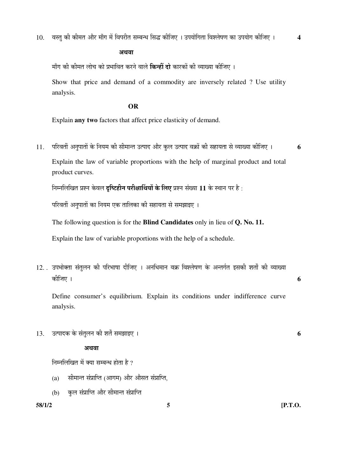अथवा

ॅमाँग की कीमत लोच को प्रभावित करने वाले **किन्हीं दो** कारकों की व्याख्या कीजिए ।

 Show that price and demand of a commodity are inversely related ? Use utility analysis.

#### **OR**

Explain **any two** factors that affect price elasticity of demand.

 $11.$  परिवर्ती अनुपातों के नियम की सीमान्त उत्पाद और कुल उत्पाद वक्रों की सहायता से व्याख्या कीजिए । **6** 

 Explain the law of variable proportions with the help of marginal product and total product curves.

 $\hat{p}$ नमलिखित प्रश्न केवल **दृष्टिहीन परीक्षार्थियों के लिए** प्रश्न संख्या 11 के स्थान पर है:

परिवर्ती अनपातों का नियम एक तालिका की सहायता से समझाइए ।

The following question is for the **Blind Candidates** only in lieu of **Q. No. 11.**

Explain the law of variable proportions with the help of a schedule.

12. . उपभोक्ता संतुलन की परिभाषा दीजिए । अनधिमान वक्र विश्लेषण के अन्तर्गत इसकी शर्तों की व्याख्या Ûúßו֋ … **6** 

 Define consumer's equilibrium. Explain its conditions under indifference curve analysis.

13. ˆŸ¯ÖÖ¤üÛú Ûêú ÃÖÓŸÖã»Ö®Ö Ûúß ¿ÖŸÖí ÃÖ´Ö—ÖÖ‡‹ … **6** 

#### अथवा

निम्नलिखित में क्या सम्बन्ध होता है ?

- $(a)$  सीमान्त संप्राप्ति (आगम) और औसत संप्राप्ति,
- (b) कल संप्राप्ति और सीमान्त संप्राप्ति

**58/1/2 5 [P.T.O.**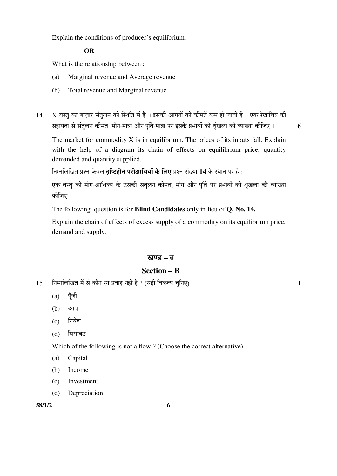Explain the conditions of producer's equilibrium.

#### **OR**

What is the relationship between :

- (a) Marginal revenue and Average revenue
- (b) Total revenue and Marginal revenue
- $14. X$  वस्तु का बाज़ार संतुलन की स्थिति में है । इसकी आगतों की कीमतें कम हो जाती हैं । एक रेखाचित्र की KRI À संतुलन कीमत, माँग-मात्रा और पूर्ति-मात्रा पर इसके प्रभावों की शृंखला की व्याख्या कीजिए । 6

The market for commodity  $X$  is in equilibrium. The prices of its inputs fall. Explain with the help of a diagram its chain of effects on equilibrium price, quantity demanded and quantity supplied.

 $\hat{p}$ नमलिखित प्रश्न केवल **दष्टिहीन परीक्षार्थियों के लिए** प्रश्न संख्या 14 के स्थान पर है :

एक वस्त की माँग-आधिक्य के उसकी संतलन कीमत. माँग और पर्ति पर प्रभावों की शृंखला की व्याख्या कोजिए ।

The following question is for **Blind Candidates** only in lieu of **Q. No. 14.** 

 Explain the chain of effects of excess supply of a commodity on its equilibrium price, demand and supply.

#### खण्ड – ब

### **Section – B**

- 15. ×®Ö´®Ö×»Ö×ÜÖŸÖ ´Öë ÃÖê ÛúÖî®Ö ÃÖÖ ¯ÖϾÖÖÆü ®ÖÆüà Æîü ? (ÃÖÆüß ×¾ÖÛú»¯Ö "Öã×®Ö‹) **1** 
	- $(a)$  पूँजी
	- (b) आय
	- $(c)$  निवेश
	- (d) घिसावट

Which of the following is not a flow ? (Choose the correct alternative)

- (a) Capital
- (b) Income
- (c) Investment
- (d) Depreciation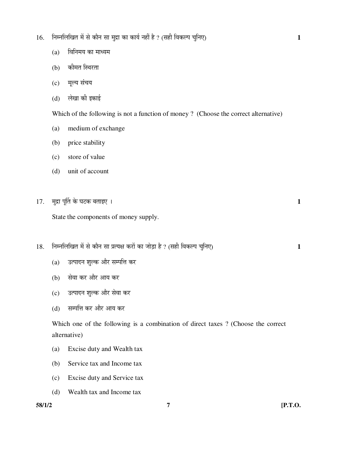- 16. निम्नलिखित में से कौन सा मुद्रा का कार्य नहीं है ? (सही विकल्प चुनिए) 1
	- $(a)$  विनिमय का माध्यम
	- (b) कीमत स्थिरता
	- (c) मृल्य संचय
	- (d) लेखा की इकाई

Which of the following is not a function of money ? (Choose the correct alternative)

- (a) medium of exchange
- (b) price stability
- (c) store of value
- (d) unit of account
- $17.$  मुद्रा पूर्ति के घटक बताइए ।  $1$

State the components of money supply.

- 18. निम्नलिखित में से कौन सा प्रत्यक्ष करों का जोड़ा है ? (सही विकल्प चुनिए) 1
	- (a) जित्पादन शुल्क और सम्पत्ति कर
	- (b) सेवा कर और आय कर
	- (c) उत्पादन शुल्क और सेवा कर
	- (d) सम्पत्ति कर और आय कर

 Which one of the following is a combination of direct taxes ? (Choose the correct alternative)

- (a) Excise duty and Wealth tax
- (b) Service tax and Income tax
- (c) Excise duty and Service tax
- (d) Wealth tax and Income tax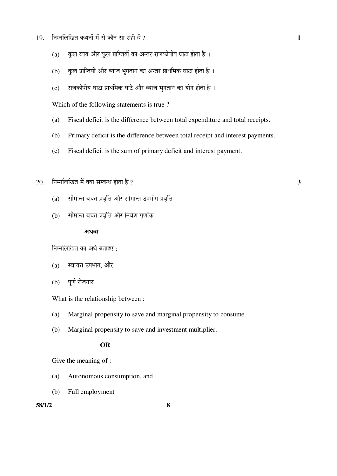- 19. ×®Ö´®Ö×»Ö×ÜÖŸÖ Ûú£Ö®ÖÖë ´Öë ÃÖê ÛúÖî®Ö ÃÖÖ ÃÖÆüß Æïü ? **1** 
	- (a) क़िल व्यय और कुल प्राप्तियों का अन्तर राजकोषीय घाटा होता है)।
	- (b) कुल प्राप्तियों और ब्याज भुगतान का अन्तर प्राथमिक घाटा होता है ।
	- $(c)$  राजकोषीय घाटा प्राथमिक घाटे और ब्याज भुगतान का योग होता है ।

Which of the following statements is true ?

- (a) Fiscal deficit is the difference between total expenditure and total receipts.
- (b) Primary deficit is the difference between total receipt and interest payments.
- (c) Fiscal deficit is the sum of primary deficit and interest payment.
- $20.$  निम्नलिखित में क्या सम्बन्ध होता है ?  $3$ 
	- $(a)$  सीमान्त बचत प्रवृत्ति और सीमान्त उपभोग प्रवृत्ति
	- (b) सीमान्त बचत प्रवृत्ति और निवेश गुणांक

#### अथवा

निम्नलिखित का अर्थ बताइए:

- (a) स्वायत्त उपभोग, और
- (b) पूर्ण रोजगार

What is the relationship between :

- (a) Marginal propensity to save and marginal propensity to consume.
- (b) Marginal propensity to save and investment multiplier.

#### **OR**

Give the meaning of :

- (a) Autonomous consumption, and
- (b) Full employment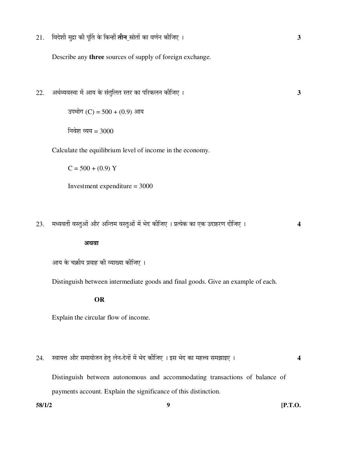21. ×¾Ö¤êü¿Öß ´Öã¦üÖ Ûúß ¯ÖæÙŸÖ Ûêú ×Ûú®Æüà ŸÖß®Ö ÄÖÖêŸÖÖë ÛúÖ ¾ÖÞÖÔ®Ö Ûúßו֋ … **3** 

Describe any **three** sources of supply of foreign exchange.

22. †£ÖÔ¾µÖ¾ÖãÖÖ ´Öë †ÖµÖ Ûêú ÃÖÓŸÖã×»ÖŸÖ ÃŸÖ¸ü ÛúÖ ¯Ö׸üÛú»Ö®Ö Ûúßו֋ … **3** 

उपभोग (C) =  $500 + (0.9)$  आय

निवेश व्यय =  $3000$ 

Calculate the equilibrium level of income in the economy.

 $C = 500 + (0.9) Y$ 

Investment expenditure = 3000

 $23.$  मध्यवर्ती वस्तुओं और अन्तिम वस्तुओं में भेद कीजिए । प्रत्येक का एक उदाहरण दीजिए । 4

#### अथवा

आय के चक्रीय प्रवाह की व्याख्या कीजिए ।

Distinguish between intermediate goods and final goods. Give an example of each.

#### **OR**

Explain the circular flow of income.

24. þÖÖµÖ¢Ö †Öî¸ü ÃÖ´ÖÖµÖÖê•Ö®Ö ÆêüŸÖã »Öê®Ö-¤êü®ÖÖë ´Öë ³Öê¤ü Ûúßו֋ … ‡ÃÖ ³Öê¤ü ÛúÖ ´ÖÆü¢¾Ö ÃÖ´Ö—ÖÖ‡‹ … **4** 

Distinguish between autonomous and accommodating transactions of balance of payments account. Explain the significance of this distinction.

**58/1/2 9 [P.T.O.**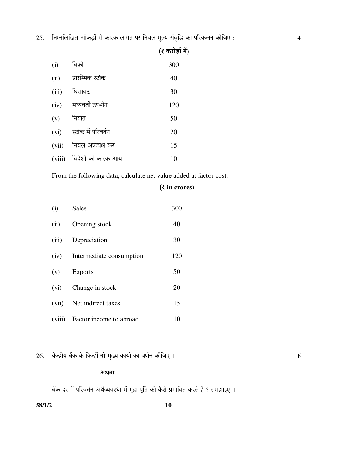$25.$  निम्नलिखित आँकड़ों से कारक लागत पर निवल मूल्य संवृद्धि का परिकलन कीजिए :  $\,$ 

| (i)    | बिक्री             | 300 |
|--------|--------------------|-----|
| (ii)   | प्रारम्भिक स्टॉक   | 40  |
| (iii)  | घिसावट             | 30  |
| (iv)   | मध्यवर्ती उपभोग    | 120 |
| (v)    | निर्यात            | 50  |
| (vi)   | स्टॉक में परिवर्तन | 20  |
| (vii)  | निवल अप्रत्यक्ष कर | 15  |
| (viii) | विदेशों को कारक आय | 10  |

From the following data, calculate net value added at factor cost.

## (` **in crores)**

 $($ ह करोड़ों में $)$ 

| (i)    | <b>Sales</b>                  | 300 |
|--------|-------------------------------|-----|
| (ii)   | Opening stock                 | 40  |
| (iii)  | Depreciation                  | 30  |
|        | (iv) Intermediate consumption | 120 |
| (v)    | <b>Exports</b>                | 50  |
| (vi)   | Change in stock               | 20  |
| (vii)  | Net indirect taxes            | 15  |
| (viii) | Factor income to abroad       | 10  |

26. केन्द्रीय बैंक के किन्हीं **दो** मुख्य कार्यों का वर्णन कीजिए ।

#### अथवा

बेंक दर में परिवर्तन अर्थव्यवस्था में मुद्रा पूर्ति को कैसे प्रभावित करते हैं ? समझाइए ।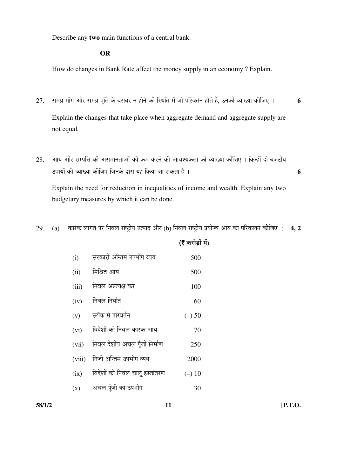Describe any **two** main functions of a central bank.

#### **OR**

How do changes in Bank Rate affect the money supply in an economy ? Explain.

- $27$ . समग्र माँग और समग्र पूर्ति के बराबर न होने की स्थिति में जो परिवर्तन होते हैं, उनकी व्याख्या कीजिए । **6**  Explain the changes that take place when aggregate demand and aggregate supply are not equal.
- $28.$  ) आय और सम्पत्ति की असमानताओं को कम करने की आवश्यकता की व्याख्या कीजिए । किन्हीं दो बजटीय ˆ¯ÖÖµÖÖë Ûúß ¾µÖÖܵÖÖ Ûúßו֋ ו֮ÖÛêú «üÖ¸üÖ µÖÆü ×ÛúµÖÖ •ÖÖ ÃÖÛúŸÖÖ Æîü … **6**

 Explain the need for reduction in inequalities of income and wealth. Explain any two budgetary measures by which it can be done.

29. (a) कारक लागत पर निवल राष्ट्रीय उत्पाद और (b) निवल राष्ट्रीय प्रयोज्य आय का परिकलन कीजिए : **4, 2** 

|        |                                | (₹ करोड़ों में) |
|--------|--------------------------------|-----------------|
| (i)    | सरकारी अन्तिम उपभोग व्यय       | 500             |
| (ii)   | मिश्रित आय                     | 1500            |
| (iii)  | निवल अप्रत्यक्ष कर             | 100             |
| (iv)   | निवल निर्यात                   | 60              |
| (v)    | स्टॉक में परिवर्तन             | $(-)$ 50        |
| (vi)   | विदेशों को निवल कारक आय        | 70              |
| (vii)  | निवल देशीय अचल पूँजी निर्माण   | 250             |
| (viii) | निजी अन्तिम उपभोग व्यय         | 2000            |
| (ix)   | विदेशों को निवल चालू हस्तांतरण | $(-)$ 10        |
| (x)    | अचल पुँजी का उपभोग             | 30              |

**58/1/2 11 [P.T.O.**